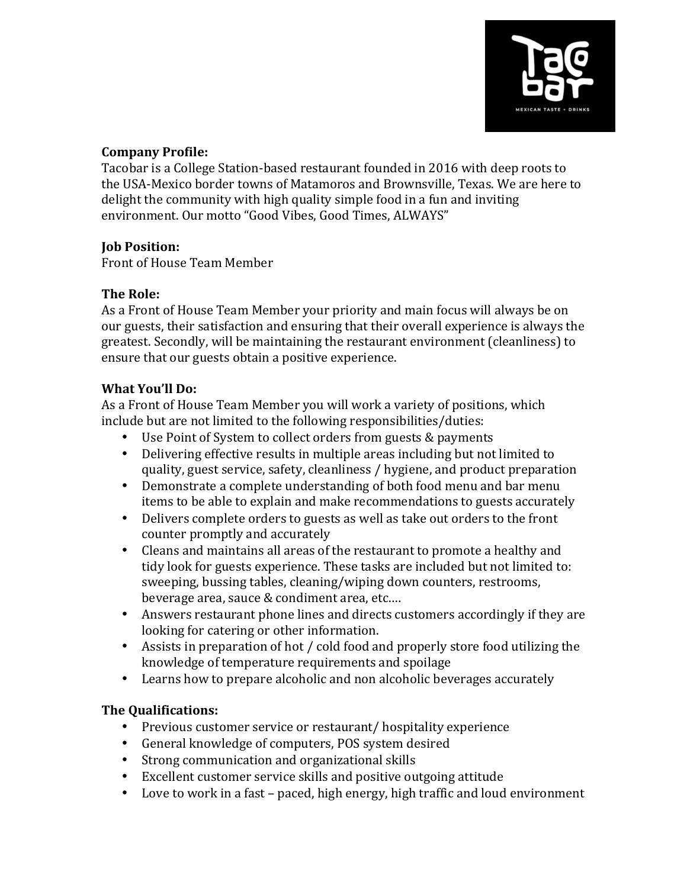

## **Company Profile:**

Tacobar is a College Station-based restaurant founded in 2016 with deep roots to the USA-Mexico border towns of Matamoros and Brownsville, Texas. We are here to delight the community with high quality simple food in a fun and inviting environment. Our motto "Good Vibes, Good Times, ALWAYS"

## **Job Position:**

Front of House Team Member

## **The Role:**

As a Front of House Team Member your priority and main focus will always be on our guests, their satisfaction and ensuring that their overall experience is always the greatest. Secondly, will be maintaining the restaurant environment (cleanliness) to ensure that our guests obtain a positive experience.

## **What You'll Do:**

As a Front of House Team Member you will work a variety of positions, which include but are not limited to the following responsibilities/duties:

- Use Point of System to collect orders from guests & payments
- Delivering effective results in multiple areas including but not limited to quality, guest service, safety, cleanliness / hygiene, and product preparation
- Demonstrate a complete understanding of both food menu and bar menu items to be able to explain and make recommendations to guests accurately
- Delivers complete orders to guests as well as take out orders to the front counter promptly and accurately
- Cleans and maintains all areas of the restaurant to promote a healthy and tidy look for guests experience. These tasks are included but not limited to: sweeping, bussing tables, cleaning/wiping down counters, restrooms, beverage area, sauce & condiment area, etc....
- Answers restaurant phone lines and directs customers accordingly if they are looking for catering or other information.
- Assists in preparation of hot / cold food and properly store food utilizing the knowledge of temperature requirements and spoilage
- Learns how to prepare alcoholic and non alcoholic beverages accurately

# **The Qualifications:**

- Previous customer service or restaurant/ hospitality experience
- General knowledge of computers, POS system desired
- Strong communication and organizational skills
- Excellent customer service skills and positive outgoing attitude
- Love to work in a fast paced, high energy, high traffic and loud environment